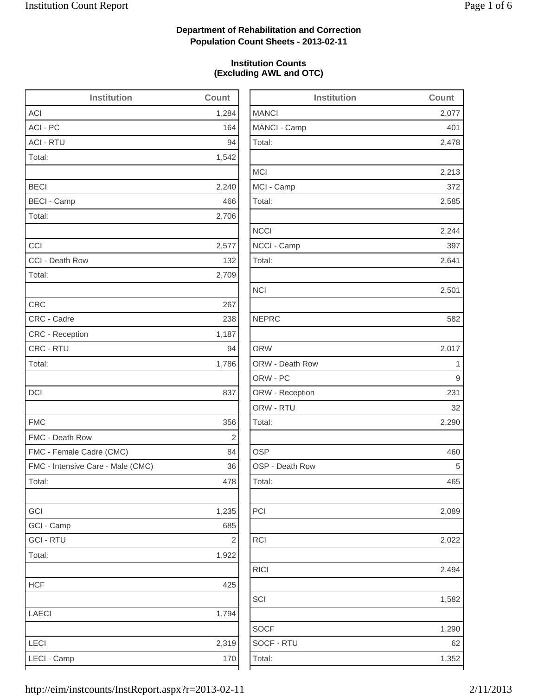2,478

2,213

2,244

2,494

1,582

1,290

# **Department of Rehabilitation and Correction Population Count Sheets - 2013-02-11**

### **Institution Counts (Excluding AWL and OTC)**

| Institution                       | Count      | Institution     | Count |
|-----------------------------------|------------|-----------------|-------|
| <b>ACI</b>                        | 1,284      | <b>MANCI</b>    | 2,077 |
| ACI - PC                          | 164        | MANCI - Camp    | 401   |
| <b>ACI - RTU</b>                  | 94         | Total:          | 2,478 |
| Total:                            | 1,542      |                 |       |
|                                   |            | <b>MCI</b>      | 2,213 |
| <b>BECI</b>                       | 2,240      | MCI - Camp      | 372   |
| <b>BECI - Camp</b>                | 466        | Total:          | 2,585 |
| Total:                            | 2,706      |                 |       |
|                                   |            | <b>NCCI</b>     | 2,244 |
| CCI                               | 2,577      | NCCI - Camp     | 397   |
| CCI - Death Row                   | 132        | Total:          | 2,641 |
| Total:                            | 2,709      |                 |       |
|                                   |            | <b>NCI</b>      | 2,501 |
| <b>CRC</b>                        | 267        |                 |       |
| CRC - Cadre                       | 238        | <b>NEPRC</b>    | 582   |
| CRC - Reception                   | 1,187      |                 |       |
| CRC - RTU                         | 94         | <b>ORW</b>      | 2,017 |
| Total:                            | 1,786      | ORW - Death Row | 1     |
|                                   |            | ORW - PC        | 9     |
| <b>DCI</b>                        | 837        | ORW - Reception | 231   |
|                                   |            | ORW - RTU       | 32    |
| <b>FMC</b>                        | 356        | Total:          | 2,290 |
| FMC - Death Row                   | $\sqrt{2}$ |                 |       |
| FMC - Female Cadre (CMC)          | 84         | <b>OSP</b>      | 460   |
| FMC - Intensive Care - Male (CMC) | 36         | OSP - Death Row | 5     |
| Total:                            | 478        | Total:          | 465   |
| GCI                               | 1,235      | PCI             | 2,089 |
| GCI - Camp                        | 685        |                 |       |
| <b>GCI - RTU</b>                  | $\sqrt{2}$ | RCI             | 2,022 |
| Total:                            | 1,922      |                 |       |
|                                   |            | <b>RICI</b>     | 2,494 |
| <b>HCF</b>                        | 425        |                 |       |
|                                   |            | SCI             | 1,582 |
| <b>LAECI</b>                      | 1,794      |                 |       |
|                                   |            | <b>SOCF</b>     | 1,290 |
| LECI                              | 2,319      | SOCF - RTU      | 62    |
| LECI - Camp                       | 170        | Total:          | 1,352 |
|                                   |            |                 |       |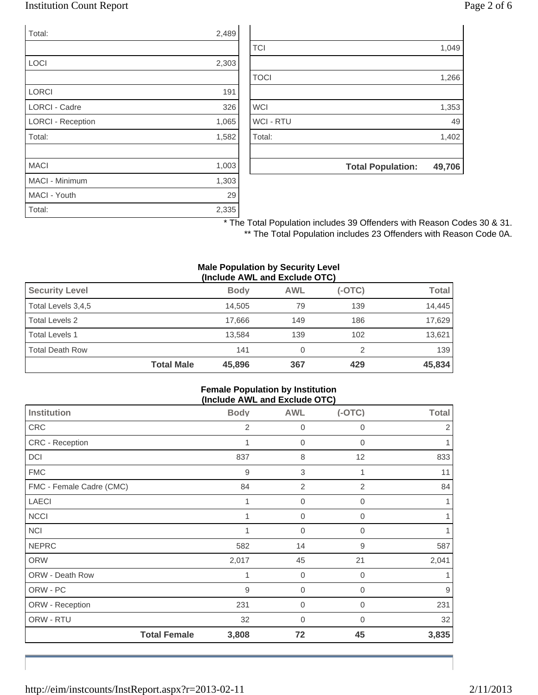## Institution Count Report Page 2 of 6

| Total:                   | 2,489 |
|--------------------------|-------|
|                          |       |
| LOCI                     | 2,303 |
|                          |       |
| <b>LORCI</b>             | 191   |
| <b>LORCI - Cadre</b>     | 326   |
| <b>LORCI - Reception</b> | 1,065 |
| Total:                   | 1,582 |
|                          |       |
| <b>MACI</b>              | 1,003 |
| <b>MACI - Minimum</b>    | 1,303 |
| MACI - Youth             | 29    |
| Total:                   | 2,335 |

|                  | <b>Total Population:</b> | 49,706 |
|------------------|--------------------------|--------|
|                  |                          |        |
| Total:           |                          | 1,402  |
| <b>WCI - RTU</b> |                          | 49     |
| <b>WCI</b>       |                          | 1,353  |
|                  |                          |        |
| <b>TOCI</b>      |                          | 1,266  |
|                  |                          |        |
| <b>TCI</b>       |                          | 1,049  |

\* The Total Population includes 39 Offenders with Reason Codes 30 & 31. \*\* The Total Population includes 23 Offenders with Reason Code 0A.

#### **Male Population by Security Level (Include AWL and Exclude OTC)**

| <b>Security Level</b>  |                   | <b>Body</b> | <b>AWL</b> | $(-OTC)$ | Total  |
|------------------------|-------------------|-------------|------------|----------|--------|
| Total Levels 3,4,5     |                   | 14.505      | 79         | 139      | 14.445 |
| Total Levels 2         |                   | 17.666      | 149        | 186      | 17,629 |
| <b>Total Levels 1</b>  |                   | 13.584      | 139        | 102      | 13,621 |
| <b>Total Death Row</b> |                   | 141         | 0          |          | 139    |
|                        | <b>Total Male</b> | 45,896      | 367        | 429      | 45,834 |

#### **Female Population by Institution (Include AWL and Exclude OTC)**

| <b>Institution</b>       | <b>Body</b> | <b>AWL</b>       | $(-OTC)$       | <b>Total</b> |
|--------------------------|-------------|------------------|----------------|--------------|
| CRC                      | 2           | 0                | 0              | 2            |
| CRC - Reception          | 1           | $\mathbf 0$      | 0              | 1            |
| <b>DCI</b>               | 837         | 8                | 12             | 833          |
| <b>FMC</b>               | 9           | $\,$ 3 $\,$      |                | 11           |
| FMC - Female Cadre (CMC) | 84          | $\overline{2}$   | $\overline{2}$ | 84           |
| <b>LAECI</b>             | 1           | $\mathbf 0$      | 0              | 1            |
| <b>NCCI</b>              |             | 0                | 0              | 1            |
| <b>NCI</b>               |             | $\mathbf 0$      | 0              | 1            |
| <b>NEPRC</b>             | 582         | 14               | 9              | 587          |
| <b>ORW</b>               | 2,017       | 45               | 21             | 2,041        |
| ORW - Death Row          |             | $\boldsymbol{0}$ | 0              | 1            |
| ORW - PC                 | 9           | $\mathbf 0$      | 0              | 9            |
| ORW - Reception          | 231         | $\overline{0}$   | 0              | 231          |
| ORW - RTU                | 32          | 0                | 0              | 32           |
| <b>Total Female</b>      | 3,808       | 72               | 45             | 3,835        |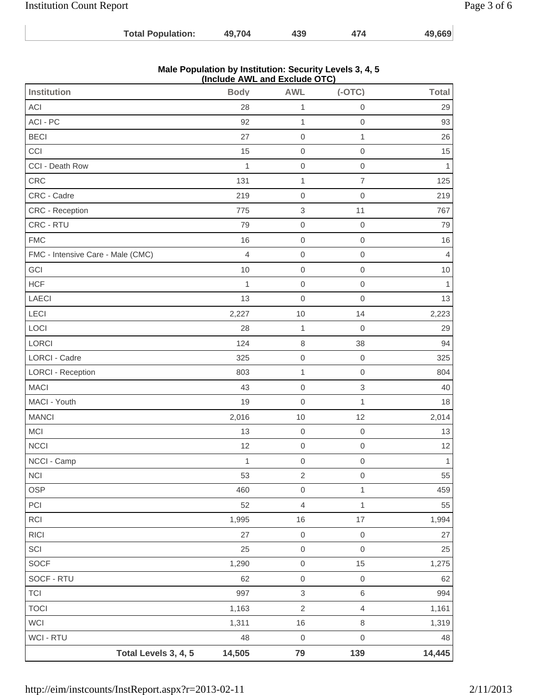| <b>Institution Count Report</b> |                          |                                                                                           |     |     |        | Page 3 of 6 |
|---------------------------------|--------------------------|-------------------------------------------------------------------------------------------|-----|-----|--------|-------------|
|                                 | <b>Total Population:</b> | 49.704                                                                                    | 439 | 474 | 49,669 |             |
|                                 |                          | Male Population by Institution: Security Levels 3, 4, 5<br>(Include AMIL and Evelude OTC) |     |     |        |             |

|                                   |                | (Include AWL and Exclude OTC) |                     |                |
|-----------------------------------|----------------|-------------------------------|---------------------|----------------|
| Institution                       | <b>Body</b>    | <b>AWL</b>                    | $(-OTC)$            | <b>Total</b>   |
| ACI                               | 28             | $\mathbf{1}$                  | $\mathsf{O}\xspace$ | 29             |
| ACI - PC                          | 92             | $\mathbf{1}$                  | $\mathsf{O}\xspace$ | 93             |
| <b>BECI</b>                       | 27             | $\mathbf 0$                   | $\mathbf{1}$        | 26             |
| CCI                               | 15             | $\mathbf 0$                   | $\mathsf{O}\xspace$ | 15             |
| CCI - Death Row                   | 1              | $\mathbf 0$                   | $\mathsf{O}\xspace$ | 1              |
| CRC                               | 131            | $\mathbf{1}$                  | $\overline{7}$      | 125            |
| CRC - Cadre                       | 219            | $\boldsymbol{0}$              | $\mathsf{O}\xspace$ | 219            |
| CRC - Reception                   | 775            | $\ensuremath{\mathsf{3}}$     | 11                  | 767            |
| CRC - RTU                         | 79             | $\mathbf 0$                   | $\,0\,$             | 79             |
| <b>FMC</b>                        | 16             | $\mathbf 0$                   | $\mathsf{O}\xspace$ | 16             |
| FMC - Intensive Care - Male (CMC) | $\overline{4}$ | $\mathbf 0$                   | $\mathsf{O}\xspace$ | $\overline{4}$ |
| GCI                               | 10             | $\mathbf 0$                   | $\mathsf{O}\xspace$ | $10$           |
| <b>HCF</b>                        | 1              | $\mathbf 0$                   | $\mathsf{O}\xspace$ | 1              |
| <b>LAECI</b>                      | 13             | $\mathbf 0$                   | $\mathsf{O}\xspace$ | 13             |
| LECI                              | 2,227          | 10                            | 14                  | 2,223          |
| LOCI                              | 28             | $\mathbf{1}$                  | $\mathbf 0$         | 29             |
| LORCI                             | 124            | $\,8\,$                       | 38                  | 94             |
| <b>LORCI - Cadre</b>              | 325            | $\mathbf 0$                   | $\mathbf 0$         | 325            |
| <b>LORCI - Reception</b>          | 803            | $\mathbf{1}$                  | $\mathsf{O}\xspace$ | 804            |
| <b>MACI</b>                       | 43             | $\mathbf 0$                   | $\,$ 3 $\,$         | 40             |
| MACI - Youth                      | 19             | $\mathbf 0$                   | $\mathbf{1}$        | 18             |
| <b>MANCI</b>                      | 2,016          | 10                            | 12                  | 2,014          |
| <b>MCI</b>                        | 13             | $\mathbf 0$                   | $\mathbf 0$         | 13             |
| <b>NCCI</b>                       | 12             | $\mathbf 0$                   | $\mathsf{O}\xspace$ | 12             |
| NCCI - Camp                       | 1              | $\mathbf 0$                   | $\mathbf 0$         | $\mathbf{1}$   |
| NCI                               | 53             | $\sqrt{2}$                    | $\mathsf{O}\xspace$ | 55             |
| OSP                               | 460            | $\mathsf{O}\xspace$           | $\mathbf{1}$        | 459            |
| PCI                               | 52             | $\overline{4}$                | $\mathbf 1$         | 55             |
| RCI                               | 1,995          | 16                            | $17\,$              | 1,994          |
| <b>RICI</b>                       | 27             | $\mbox{O}$                    | $\mathbf 0$         | 27             |
| SCI                               | 25             | $\mathsf{O}\xspace$           | $\mathbf 0$         | 25             |
| <b>SOCF</b>                       | 1,290          | $\mathsf{O}\xspace$           | 15                  | 1,275          |
| SOCF - RTU                        | 62             | $\mbox{O}$                    | $\mathsf{O}\xspace$ | 62             |
| <b>TCI</b>                        | 997            | $\ensuremath{\mathsf{3}}$     | $\,$ 6 $\,$         | 994            |
| <b>TOCI</b>                       | 1,163          | $\sqrt{2}$                    | $\overline{4}$      | 1,161          |
| WCI                               | 1,311          | 16                            | $\,8\,$             | 1,319          |
| WCI - RTU                         | 48             | $\mathbf 0$                   | $\mathsf{O}\xspace$ | 48             |
| Total Levels 3, 4, 5              | 14,505         | 79                            | 139                 | 14,445         |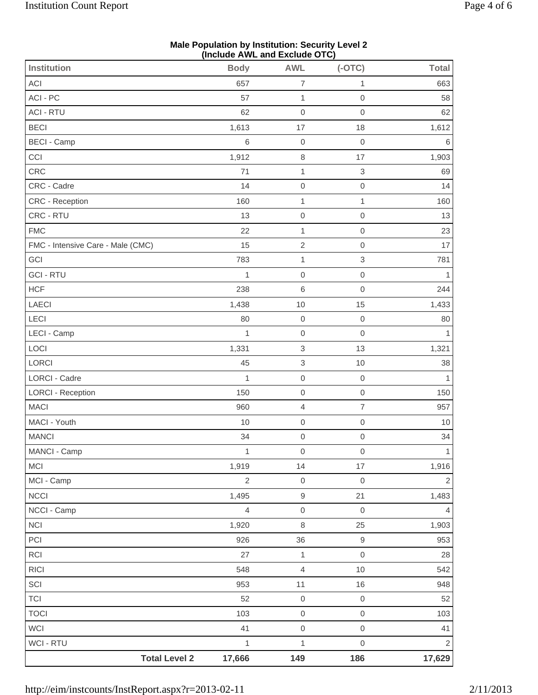|                                   | (Include AWL and Exclude OTC) |                           |                           |                |
|-----------------------------------|-------------------------------|---------------------------|---------------------------|----------------|
| Institution                       | <b>Body</b>                   | <b>AWL</b>                | $(-OTC)$                  | <b>Total</b>   |
| ACI                               | 657                           | $\overline{7}$            | 1                         | 663            |
| ACI - PC                          | 57                            | $\mathbf{1}$              | $\mathbf 0$               | 58             |
| <b>ACI - RTU</b>                  | 62                            | $\mbox{O}$                | $\mathbf 0$               | 62             |
| <b>BECI</b>                       | 1,613                         | 17                        | 18                        | 1,612          |
| <b>BECI - Camp</b>                | $\,6$                         | $\mathbf 0$               | $\mathbf 0$               | 6              |
| CCI                               | 1,912                         | $\,8\,$                   | 17                        | 1,903          |
| CRC                               | 71                            | $\mathbf{1}$              | $\ensuremath{\mathsf{3}}$ | 69             |
| CRC - Cadre                       | 14                            | $\mbox{O}$                | $\mathbf 0$               | 14             |
| CRC - Reception                   | 160                           | $\mathbf{1}$              | 1                         | 160            |
| CRC - RTU                         | 13                            | $\mathbf 0$               | $\mathbf 0$               | 13             |
| <b>FMC</b>                        | 22                            | $\mathbf{1}$              | $\mathbf 0$               | 23             |
| FMC - Intensive Care - Male (CMC) | 15                            | $\overline{2}$            | $\mathbf 0$               | 17             |
| GCI                               | 783                           | $\mathbf 1$               | $\,$ 3 $\,$               | 781            |
| <b>GCI - RTU</b>                  | $\mathbf{1}$                  | $\mathbf 0$               | $\,0\,$                   | 1              |
| <b>HCF</b>                        | 238                           | 6                         | $\mathbf 0$               | 244            |
| LAECI                             | 1,438                         | 10                        | 15                        | 1,433          |
| LECI                              | 80                            | $\boldsymbol{0}$          | $\mathbf 0$               | 80             |
| LECI - Camp                       | $\mathbf{1}$                  | $\mathbf 0$               | $\,0\,$                   | $\mathbf{1}$   |
| LOCI                              | 1,331                         | 3                         | 13                        | 1,321          |
| LORCI                             | 45                            | $\ensuremath{\mathsf{3}}$ | 10                        | 38             |
| <b>LORCI - Cadre</b>              | $\mathbf{1}$                  | $\boldsymbol{0}$          | $\mathsf{O}\xspace$       | $\mathbf{1}$   |
| <b>LORCI - Reception</b>          | 150                           | $\mathbf 0$               | $\,0\,$                   | 150            |
| <b>MACI</b>                       | 960                           | $\overline{4}$            | $\overline{7}$            | 957            |
| MACI - Youth                      | 10                            | $\mbox{O}$                | $\mathsf{O}\xspace$       | 10             |
| <b>MANCI</b>                      | 34                            | $\mathbf 0$               | $\mathbf 0$               | 34             |
| MANCI - Camp                      | 1                             | $\mathbf 0$               | $\mathsf{O}\xspace$       | $\mathbf{1}$   |
| MCI                               | 1,919                         | 14                        | 17                        | 1,916          |
| MCI - Camp                        | $\sqrt{2}$                    | $\mathbf 0$               | $\mbox{O}$                | $\sqrt{2}$     |
| <b>NCCI</b>                       | 1,495                         | 9                         | 21                        | 1,483          |
| NCCI - Camp                       | $\overline{4}$                | $\mathbf 0$               | $\mathbf 0$               | $\overline{4}$ |
| $\sf NC I$                        | 1,920                         | $\,8\,$                   | 25                        | 1,903          |
| PCI                               | 926                           | 36                        | $\hbox{9}$                | 953            |
| <b>RCI</b>                        | 27                            | $\mathbf{1}$              | $\,0\,$                   | 28             |
| <b>RICI</b>                       | 548                           | 4                         | 10                        | 542            |
| SCI                               | 953                           | 11                        | 16                        | 948            |
| <b>TCI</b>                        | 52                            | $\mbox{O}$                | $\,0\,$                   | 52             |
| <b>TOCI</b>                       | 103                           | $\mathbf 0$               | $\,0\,$                   | 103            |
| <b>WCI</b>                        | 41                            | $\mathsf{O}\xspace$       | $\mathbf 0$               | 41             |
| <b>WCI - RTU</b>                  | $\mathbf{1}$                  | $\mathbf{1}$              | $\mathbf 0$               | $\sqrt{2}$     |
| <b>Total Level 2</b>              | 17,666                        | 149                       | 186                       | 17,629         |

## **Male Population by Institution: Security Level 2 (Include AWL and Exclude OTC)**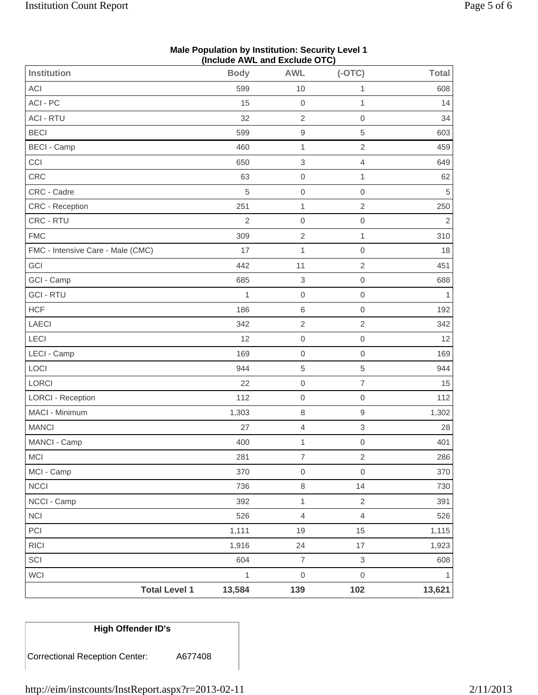|                                   |                | (Include AWL and Exclude OTC) |                          |              |
|-----------------------------------|----------------|-------------------------------|--------------------------|--------------|
| Institution                       | <b>Body</b>    | <b>AWL</b>                    | $(-OTC)$                 | <b>Total</b> |
| ACI                               | 599            | 10                            | $\mathbf{1}$             | 608          |
| ACI - PC                          | 15             | $\mathbf 0$                   | $\mathbf{1}$             | 14           |
| <b>ACI - RTU</b>                  | 32             | $\sqrt{2}$                    | $\mathbf 0$              | 34           |
| <b>BECI</b>                       | 599            | $\boldsymbol{9}$              | $\,$ 5 $\,$              | 603          |
| <b>BECI - Camp</b>                | 460            | 1                             | $\overline{c}$           | 459          |
| CCI                               | 650            | $\ensuremath{\mathsf{3}}$     | $\overline{\mathcal{L}}$ | 649          |
| <b>CRC</b>                        | 63             | $\mathbf 0$                   | $\mathbf{1}$             | 62           |
| CRC - Cadre                       | 5              | $\mathbf 0$                   | $\mathbf 0$              | 5            |
| CRC - Reception                   | 251            | $\mathbf{1}$                  | $\mathbf{2}$             | 250          |
| CRC - RTU                         | $\overline{2}$ | $\mathbf 0$                   | $\mathbf 0$              | $\sqrt{2}$   |
| <b>FMC</b>                        | 309            | $\sqrt{2}$                    | $\mathbf{1}$             | 310          |
| FMC - Intensive Care - Male (CMC) | 17             | 1                             | $\mathbf 0$              | 18           |
| GCI                               | 442            | 11                            | $\sqrt{2}$               | 451          |
| GCI - Camp                        | 685            | $\ensuremath{\mathsf{3}}$     | $\mathbf 0$              | 688          |
| <b>GCI - RTU</b>                  | 1              | $\mathbf 0$                   | $\mathbf 0$              | 1            |
| <b>HCF</b>                        | 186            | $\,6\,$                       | $\mathbf 0$              | 192          |
| LAECI                             | 342            | $\sqrt{2}$                    | $\overline{2}$           | 342          |
| LECI                              | 12             | $\mathbf 0$                   | $\mathsf{O}\xspace$      | 12           |
| LECI - Camp                       | 169            | $\mathbf 0$                   | $\mathbf 0$              | 169          |
| LOCI                              | 944            | $\,$ 5 $\,$                   | $\,$ 5 $\,$              | 944          |
| LORCI                             | 22             | $\mathbf 0$                   | $\overline{7}$           | 15           |
| <b>LORCI - Reception</b>          | 112            | $\mathbf 0$                   | $\mathbf 0$              | 112          |
| MACI - Minimum                    | 1,303          | $\,8\,$                       | $\hbox{9}$               | 1,302        |
| <b>MANCI</b>                      | 27             | $\overline{4}$                | 3                        | 28           |
| MANCI - Camp                      | 400            | $\mathbf 1$                   | $\mbox{O}$               | 401          |
| MCI                               | 281            | $\boldsymbol{7}$              | $\overline{2}$           | 286          |
| MCI - Camp                        | 370            | $\mbox{O}$                    | $\mathsf{O}\xspace$      | 370          |
| <b>NCCI</b>                       | 736            | $\,8\,$                       | 14                       | 730          |
| NCCI - Camp                       | 392            | $\mathbf{1}$                  | $\overline{2}$           | 391          |
| NCI                               | 526            | $\overline{4}$                | $\overline{4}$           | 526          |
| PCI                               | 1,111          | 19                            | 15                       | 1,115        |
| <b>RICI</b>                       | 1,916          | 24                            | 17                       | 1,923        |
| SCI                               | 604            | $\boldsymbol{7}$              | 3                        | 608          |
| WCI                               | $\mathbf{1}$   | $\mbox{O}$                    | $\mathsf{O}\xspace$      | $\mathbf{1}$ |
| <b>Total Level 1</b>              | 13,584         | 139                           | 102                      | 13,621       |

# **Male Population by Institution: Security Level 1**

Correctional Reception Center: A677408